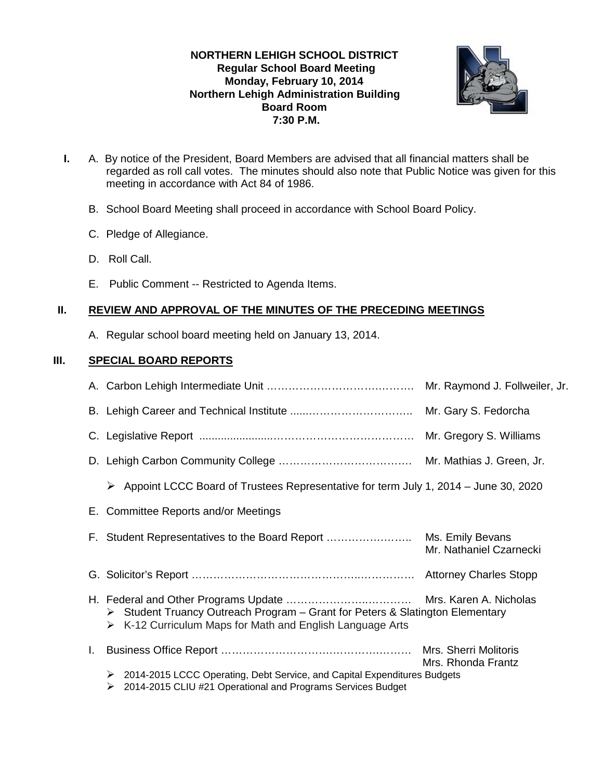# **NORTHERN LEHIGH SCHOOL DISTRICT Regular School Board Meeting Monday, February 10, 2014 Northern Lehigh Administration Building Board Room 7:30 P.M.**



- **I.** A. By notice of the President, Board Members are advised that all financial matters shall be regarded as roll call votes. The minutes should also note that Public Notice was given for this meeting in accordance with Act 84 of 1986.
	- B. School Board Meeting shall proceed in accordance with School Board Policy.
	- C. Pledge of Allegiance.
	- D. Roll Call.
	- E. Public Comment -- Restricted to Agenda Items.

## **II. REVIEW AND APPROVAL OF THE MINUTES OF THE PRECEDING MEETINGS**

A. Regular school board meeting held on January 13, 2014.

# **III. SPECIAL BOARD REPORTS**

|    |                                                                                                                                                           | Mr. Raymond J. Follweiler, Jr.              |
|----|-----------------------------------------------------------------------------------------------------------------------------------------------------------|---------------------------------------------|
|    |                                                                                                                                                           |                                             |
|    |                                                                                                                                                           |                                             |
|    |                                                                                                                                                           |                                             |
|    | Appoint LCCC Board of Trustees Representative for term July 1, 2014 – June 30, 2020<br>➤                                                                  |                                             |
|    | E. Committee Reports and/or Meetings                                                                                                                      |                                             |
|    |                                                                                                                                                           | Mr. Nathaniel Czarnecki                     |
|    |                                                                                                                                                           |                                             |
|    | > Student Truancy Outreach Program - Grant for Peters & Slatington Elementary<br>$\triangleright$ K-12 Curriculum Maps for Math and English Language Arts |                                             |
| L. |                                                                                                                                                           | Mrs. Sherri Molitoris<br>Mrs. Rhonda Frantz |
|    | 2014-2015 LCCC Operating, Debt Service, and Capital Expenditures Budgets<br>➤<br>2014-2015 CLIU #21 Operational and Programs Services Budget<br>➤         |                                             |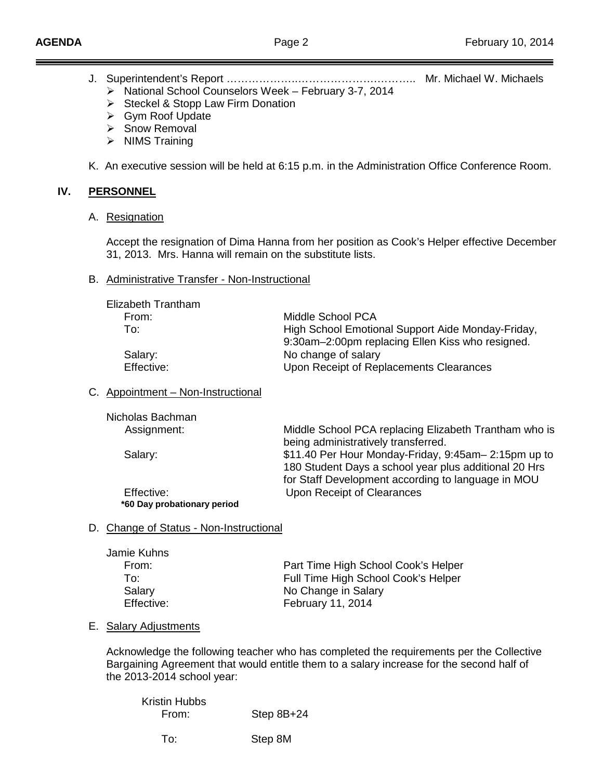- J. Superintendent's Report ………………..………………….……….. Mr. Michael W. Michaels
	- $\triangleright$  National School Counselors Week February 3-7, 2014
	- $\triangleright$  Steckel & Stopp Law Firm Donation
	- Gym Roof Update
	- Snow Removal
	- $\triangleright$  NIMS Training

K. An executive session will be held at 6:15 p.m. in the Administration Office Conference Room.

### **IV. PERSONNEL**

A. Resignation

Accept the resignation of Dima Hanna from her position as Cook's Helper effective December 31, 2013. Mrs. Hanna will remain on the substitute lists.

#### B. Administrative Transfer - Non-Instructional

| Middle School PCA                                                                                     |
|-------------------------------------------------------------------------------------------------------|
| High School Emotional Support Aide Monday-Friday,<br>9:30am-2:00pm replacing Ellen Kiss who resigned. |
| No change of salary<br>Upon Receipt of Replacements Clearances                                        |
|                                                                                                       |

#### C. Appointment – Non-Instructional

| Nicholas Bachman            |                                                       |
|-----------------------------|-------------------------------------------------------|
| Assignment:                 | Middle School PCA replacing Elizabeth Trantham who is |
|                             | being administratively transferred.                   |
| Salary:                     | \$11.40 Per Hour Monday-Friday, 9:45am-2:15pm up to   |
|                             | 180 Student Days a school year plus additional 20 Hrs |
|                             | for Staff Development according to language in MOU    |
| Effective:                  | Upon Receipt of Clearances                            |
| *60 Day probationary period |                                                       |

#### D. Change of Status - Non-Instructional

| Jamie Kuhns |                                     |
|-------------|-------------------------------------|
| From:       | Part Time High School Cook's Helper |
| To:         | Full Time High School Cook's Helper |
| Salary      | No Change in Salary                 |
| Effective:  | February 11, 2014                   |

#### E. Salary Adjustments

Acknowledge the following teacher who has completed the requirements per the Collective Bargaining Agreement that would entitle them to a salary increase for the second half of the 2013-2014 school year:

| <b>Kristin Hubbs</b> |              |
|----------------------|--------------|
| From:                | Step $8B+24$ |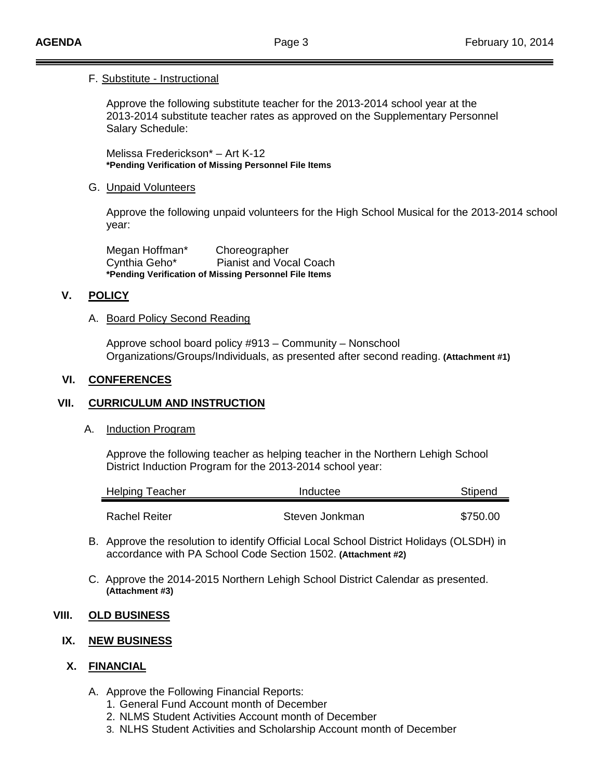#### F. Substitute - Instructional

Approve the following substitute teacher for the 2013-2014 school year at the 2013-2014 substitute teacher rates as approved on the Supplementary Personnel Salary Schedule:

Melissa Frederickson\* – Art K-12 **\*Pending Verification of Missing Personnel File Items**

#### G. Unpaid Volunteers

Approve the following unpaid volunteers for the High School Musical for the 2013-2014 school year:

Megan Hoffman\* Choreographer Cynthia Geho\* Pianist and Vocal Coach **\*Pending Verification of Missing Personnel File Items**

### **V. POLICY**

#### A. Board Policy Second Reading

Approve school board policy #913 – Community – Nonschool Organizations/Groups/Individuals, as presented after second reading. **(Attachment #1)**

#### **VI. CONFERENCES**

## **VII. CURRICULUM AND INSTRUCTION**

A. Induction Program

Approve the following teacher as helping teacher in the Northern Lehigh School District Induction Program for the 2013-2014 school year:

| <b>Helping Teacher</b> | Inductee       | Stipend  |
|------------------------|----------------|----------|
|                        |                |          |
| Rachel Reiter          | Steven Jonkman | \$750.00 |

- B. Approve the resolution to identify Official Local School District Holidays (OLSDH) in accordance with PA School Code Section 1502. **(Attachment #2)**
- C. Approve the 2014-2015 Northern Lehigh School District Calendar as presented. **(Attachment #3)**

#### **VIII. OLD BUSINESS**

# **IX. NEW BUSINESS**

## **X. FINANCIAL**

- A. Approve the Following Financial Reports:
	- 1. General Fund Account month of December
	- 2. NLMS Student Activities Account month of December
	- 3. NLHS Student Activities and Scholarship Account month of December